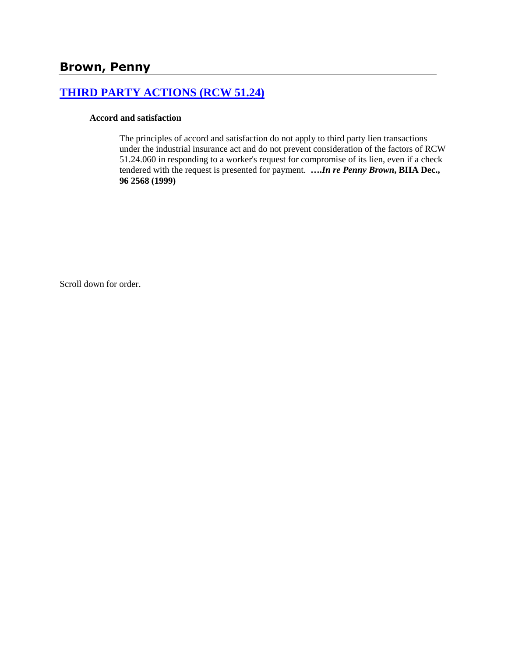# **[THIRD PARTY ACTIONS \(RCW 51.24\)](http://www.biia.wa.gov/SDSubjectIndex.html#THIRD_PARTY_ACTIONS)**

#### **Accord and satisfaction**

The principles of accord and satisfaction do not apply to third party lien transactions under the industrial insurance act and do not prevent consideration of the factors of RCW 51.24.060 in responding to a worker's request for compromise of its lien, even if a check tendered with the request is presented for payment. **….***In re Penny Brown***, BIIA Dec., 96 2568 (1999)** 

Scroll down for order.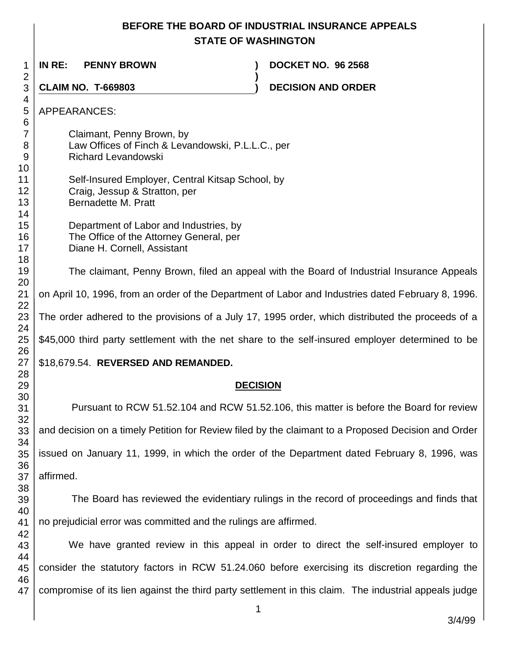## **BEFORE THE BOARD OF INDUSTRIAL INSURANCE APPEALS STATE OF WASHINGTON**

 **IN RE: PENNY BROWN ) DOCKET NO. 96 2568 ) CLAIM NO. T-669803 ) DECISION AND ORDER**  APPEARANCES: Claimant, Penny Brown, by Law Offices of Finch & Levandowski, P.L.L.C., per Richard Levandowski Self-Insured Employer, Central Kitsap School, by Craig, Jessup & Stratton, per Bernadette M. Pratt Department of Labor and Industries, by The Office of the Attorney General, per Diane H. Cornell, Assistant The claimant, Penny Brown, filed an appeal with the Board of Industrial Insurance Appeals on April 10, 1996, from an order of the Department of Labor and Industries dated February 8, 1996. The order adhered to the provisions of a July 17, 1995 order, which distributed the proceeds of a \$45,000 third party settlement with the net share to the self-insured employer determined to be \$18,679.54. **REVERSED AND REMANDED. DECISION** Pursuant to RCW 51.52.104 and RCW 51.52.106, this matter is before the Board for review and decision on a timely Petition for Review filed by the claimant to a Proposed Decision and Order issued on January 11, 1999, in which the order of the Department dated February 8, 1996, was affirmed. The Board has reviewed the evidentiary rulings in the record of proceedings and finds that no prejudicial error was committed and the rulings are affirmed. We have granted review in this appeal in order to direct the self-insured employer to consider the statutory factors in RCW 51.24.060 before exercising its discretion regarding the compromise of its lien against the third party settlement in this claim. The industrial appeals judge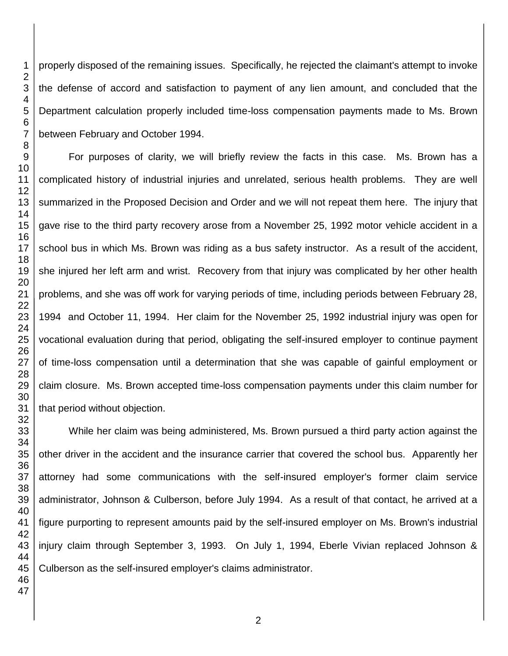properly disposed of the remaining issues. Specifically, he rejected the claimant's attempt to invoke the defense of accord and satisfaction to payment of any lien amount, and concluded that the Department calculation properly included time-loss compensation payments made to Ms. Brown between February and October 1994.

For purposes of clarity, we will briefly review the facts in this case. Ms. Brown has a complicated history of industrial injuries and unrelated, serious health problems. They are well summarized in the Proposed Decision and Order and we will not repeat them here. The injury that gave rise to the third party recovery arose from a November 25, 1992 motor vehicle accident in a school bus in which Ms. Brown was riding as a bus safety instructor. As a result of the accident, she injured her left arm and wrist. Recovery from that injury was complicated by her other health problems, and she was off work for varying periods of time, including periods between February 28, 1994 and October 11, 1994. Her claim for the November 25, 1992 industrial injury was open for vocational evaluation during that period, obligating the self-insured employer to continue payment of time-loss compensation until a determination that she was capable of gainful employment or claim closure. Ms. Brown accepted time-loss compensation payments under this claim number for that period without objection.

 While her claim was being administered, Ms. Brown pursued a third party action against the other driver in the accident and the insurance carrier that covered the school bus. Apparently her attorney had some communications with the self-insured employer's former claim service administrator, Johnson & Culberson, before July 1994. As a result of that contact, he arrived at a figure purporting to represent amounts paid by the self-insured employer on Ms. Brown's industrial injury claim through September 3, 1993. On July 1, 1994, Eberle Vivian replaced Johnson & Culberson as the self-insured employer's claims administrator.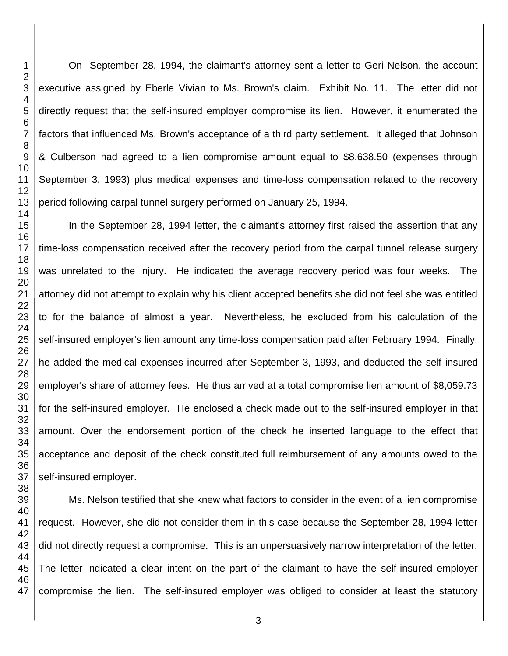On September 28, 1994, the claimant's attorney sent a letter to Geri Nelson, the account executive assigned by Eberle Vivian to Ms. Brown's claim. Exhibit No. 11. The letter did not directly request that the self-insured employer compromise its lien. However, it enumerated the factors that influenced Ms. Brown's acceptance of a third party settlement. It alleged that Johnson & Culberson had agreed to a lien compromise amount equal to \$8,638.50 (expenses through September 3, 1993) plus medical expenses and time-loss compensation related to the recovery period following carpal tunnel surgery performed on January 25, 1994.

In the September 28, 1994 letter, the claimant's attorney first raised the assertion that any time-loss compensation received after the recovery period from the carpal tunnel release surgery was unrelated to the injury. He indicated the average recovery period was four weeks. The attorney did not attempt to explain why his client accepted benefits she did not feel she was entitled to for the balance of almost a year. Nevertheless, he excluded from his calculation of the self-insured employer's lien amount any time-loss compensation paid after February 1994. Finally, he added the medical expenses incurred after September 3, 1993, and deducted the self-insured employer's share of attorney fees. He thus arrived at a total compromise lien amount of \$8,059.73 for the self-insured employer. He enclosed a check made out to the self-insured employer in that amount. Over the endorsement portion of the check he inserted language to the effect that acceptance and deposit of the check constituted full reimbursement of any amounts owed to the self-insured employer.

 Ms. Nelson testified that she knew what factors to consider in the event of a lien compromise request. However, she did not consider them in this case because the September 28, 1994 letter did not directly request a compromise. This is an unpersuasively narrow interpretation of the letter. The letter indicated a clear intent on the part of the claimant to have the self-insured employer compromise the lien. The self-insured employer was obliged to consider at least the statutory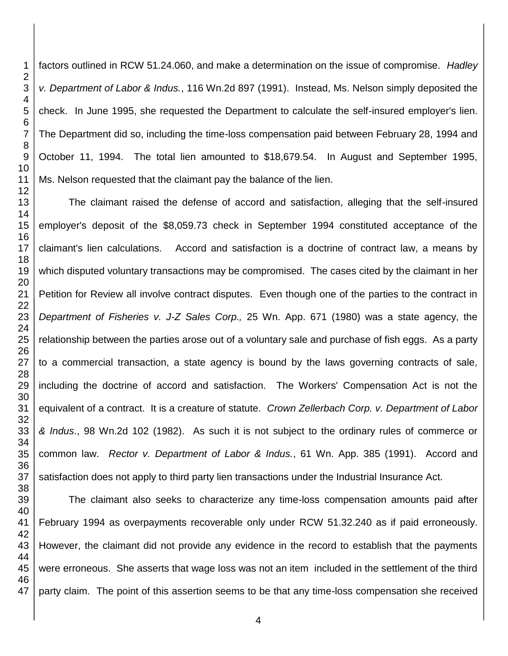factors outlined in RCW 51.24.060, and make a determination on the issue of compromise*. Hadley v. Department of Labor & Indus.*, 116 Wn.2d 897 (1991). Instead, Ms. Nelson simply deposited the check. In June 1995, she requested the Department to calculate the self-insured employer's lien. The Department did so, including the time-loss compensation paid between February 28, 1994 and October 11, 1994. The total lien amounted to \$18,679.54. In August and September 1995, Ms. Nelson requested that the claimant pay the balance of the lien.

The claimant raised the defense of accord and satisfaction, alleging that the self-insured employer's deposit of the \$8,059.73 check in September 1994 constituted acceptance of the claimant's lien calculations. Accord and satisfaction is a doctrine of contract law, a means by which disputed voluntary transactions may be compromised. The cases cited by the claimant in her Petition for Review all involve contract disputes. Even though one of the parties to the contract in *Department of Fisheries v. J-Z Sales Corp.,* 25 Wn. App. 671 (1980) was a state agency, the relationship between the parties arose out of a voluntary sale and purchase of fish eggs. As a party to a commercial transaction, a state agency is bound by the laws governing contracts of sale, including the doctrine of accord and satisfaction. The Workers' Compensation Act is not the equivalent of a contract. It is a creature of statute. *Crown Zellerbach Corp. v. Department of Labor & Indus*., 98 Wn.2d 102 (1982). As such it is not subject to the ordinary rules of commerce or common law. *Rector v. Department of Labor & Indus.*, 61 Wn. App. 385 (1991). Accord and satisfaction does not apply to third party lien transactions under the Industrial Insurance Act.

The claimant also seeks to characterize any time-loss compensation amounts paid after February 1994 as overpayments recoverable only under RCW 51.32.240 as if paid erroneously. However, the claimant did not provide any evidence in the record to establish that the payments were erroneous. She asserts that wage loss was not an item included in the settlement of the third party claim. The point of this assertion seems to be that any time-loss compensation she received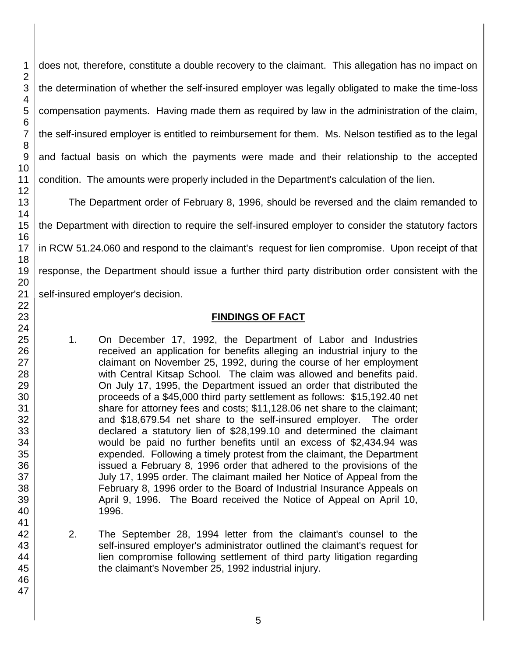does not, therefore, constitute a double recovery to the claimant. This allegation has no impact on the determination of whether the self-insured employer was legally obligated to make the time-loss compensation payments. Having made them as required by law in the administration of the claim, the self-insured employer is entitled to reimbursement for them. Ms. Nelson testified as to the legal and factual basis on which the payments were made and their relationship to the accepted condition. The amounts were properly included in the Department's calculation of the lien.

The Department order of February 8, 1996, should be reversed and the claim remanded to the Department with direction to require the self-insured employer to consider the statutory factors in RCW 51.24.060 and respond to the claimant's request for lien compromise. Upon receipt of that response, the Department should issue a further third party distribution order consistent with the self-insured employer's decision.

## **FINDINGS OF FACT**

- 1. On December 17, 1992, the Department of Labor and Industries received an application for benefits alleging an industrial injury to the claimant on November 25, 1992, during the course of her employment with Central Kitsap School. The claim was allowed and benefits paid. On July 17, 1995, the Department issued an order that distributed the proceeds of a \$45,000 third party settlement as follows: \$15,192.40 net share for attorney fees and costs; \$11,128.06 net share to the claimant; and \$18,679.54 net share to the self-insured employer. The order declared a statutory lien of \$28,199.10 and determined the claimant would be paid no further benefits until an excess of \$2,434.94 was expended. Following a timely protest from the claimant, the Department issued a February 8, 1996 order that adhered to the provisions of the July 17, 1995 order. The claimant mailed her Notice of Appeal from the February 8, 1996 order to the Board of Industrial Insurance Appeals on April 9, 1996. The Board received the Notice of Appeal on April 10, 1996.
- 2. The September 28, 1994 letter from the claimant's counsel to the self-insured employer's administrator outlined the claimant's request for lien compromise following settlement of third party litigation regarding the claimant's November 25, 1992 industrial injury.

1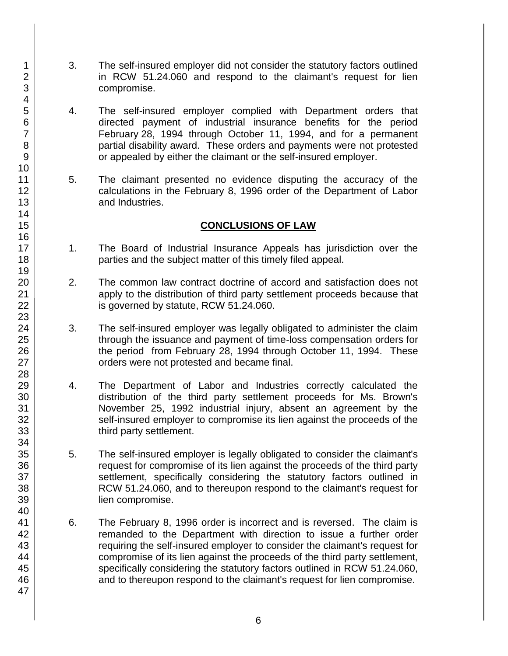- 3. The self-insured employer did not consider the statutory factors outlined in RCW 51.24.060 and respond to the claimant's request for lien compromise.
- 4. The self-insured employer complied with Department orders that directed payment of industrial insurance benefits for the period February 28, 1994 through October 11, 1994, and for a permanent partial disability award. These orders and payments were not protested or appealed by either the claimant or the self-insured employer.
- 5. The claimant presented no evidence disputing the accuracy of the calculations in the February 8, 1996 order of the Department of Labor and Industries.

## **CONCLUSIONS OF LAW**

- 1. The Board of Industrial Insurance Appeals has jurisdiction over the parties and the subject matter of this timely filed appeal.
- 2. The common law contract doctrine of accord and satisfaction does not apply to the distribution of third party settlement proceeds because that is governed by statute, RCW 51.24.060.
- 3. The self-insured employer was legally obligated to administer the claim through the issuance and payment of time-loss compensation orders for the period from February 28, 1994 through October 11, 1994. These orders were not protested and became final.
- 4. The Department of Labor and Industries correctly calculated the distribution of the third party settlement proceeds for Ms. Brown's November 25, 1992 industrial injury, absent an agreement by the self-insured employer to compromise its lien against the proceeds of the third party settlement.
- 5. The self-insured employer is legally obligated to consider the claimant's request for compromise of its lien against the proceeds of the third party settlement, specifically considering the statutory factors outlined in RCW 51.24.060, and to thereupon respond to the claimant's request for lien compromise.
- 6. The February 8, 1996 order is incorrect and is reversed. The claim is remanded to the Department with direction to issue a further order requiring the self-insured employer to consider the claimant's request for compromise of its lien against the proceeds of the third party settlement, specifically considering the statutory factors outlined in RCW 51.24.060, and to thereupon respond to the claimant's request for lien compromise.